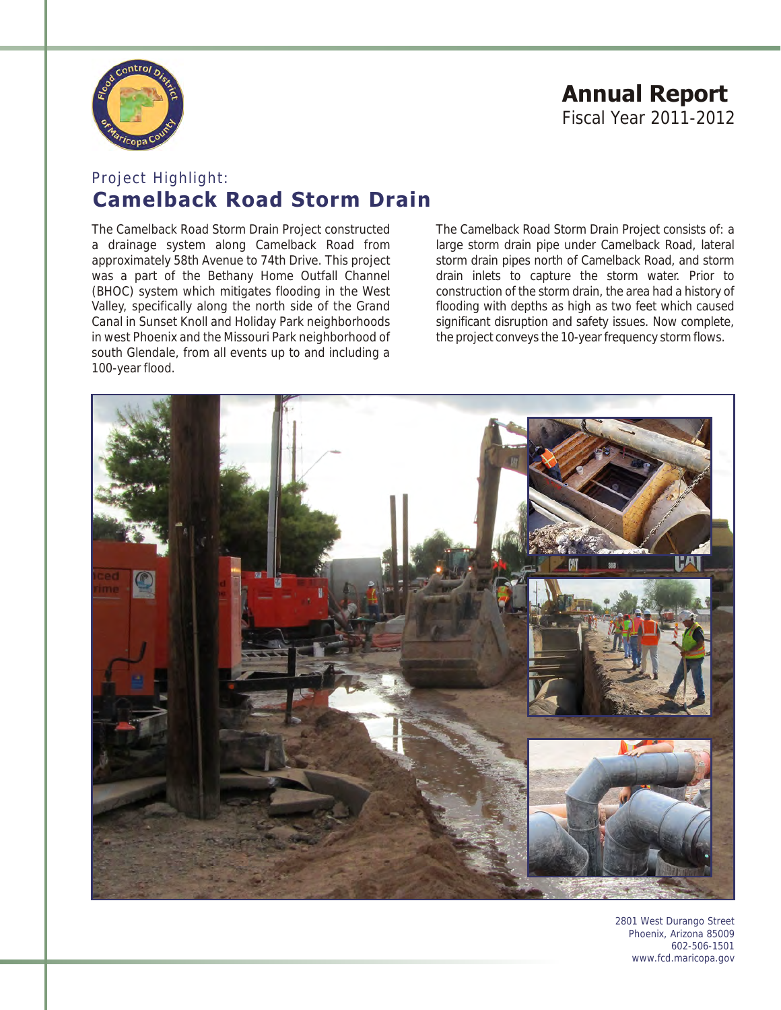

# **Annual Report** Fiscal Year 2011-2012

## Project Highlight: **Camelback Road Storm Drain**

The Camelback Road Storm Drain Project constructed The Camelback Road Storm Drain Project consists of: a a drainage system along Camelback Road from large storm drain pipe under Camelback Road, lateral approximately 58th Avenue to 74th Drive. This project storm drain pipes north of Camelback Road, and storm was a part of the Bethany Home Outfall Channel and drain inlets to capture the storm water. Prior to (BHOC) system which mitigates flooding in the West construction of the storm drain, the area had a history of Valley, specifically along the north side of the Grand flooding with depths as high as two feet which caused<br>Canal in Sunset Knoll and Holiday Park neighborhoods significant disruption and safety issues. Now complete, in west Phoenix and the Missouri Park neighborhood of south Glendale, from all events up to and including a 100-year flood.

significant disruption and safety issues. Now complete, the project conveys the 10-year frequency storm flows.



2801 West Durango Street Phoenix, Arizona 85009 602-506-1501 www.fcd.maricopa.gov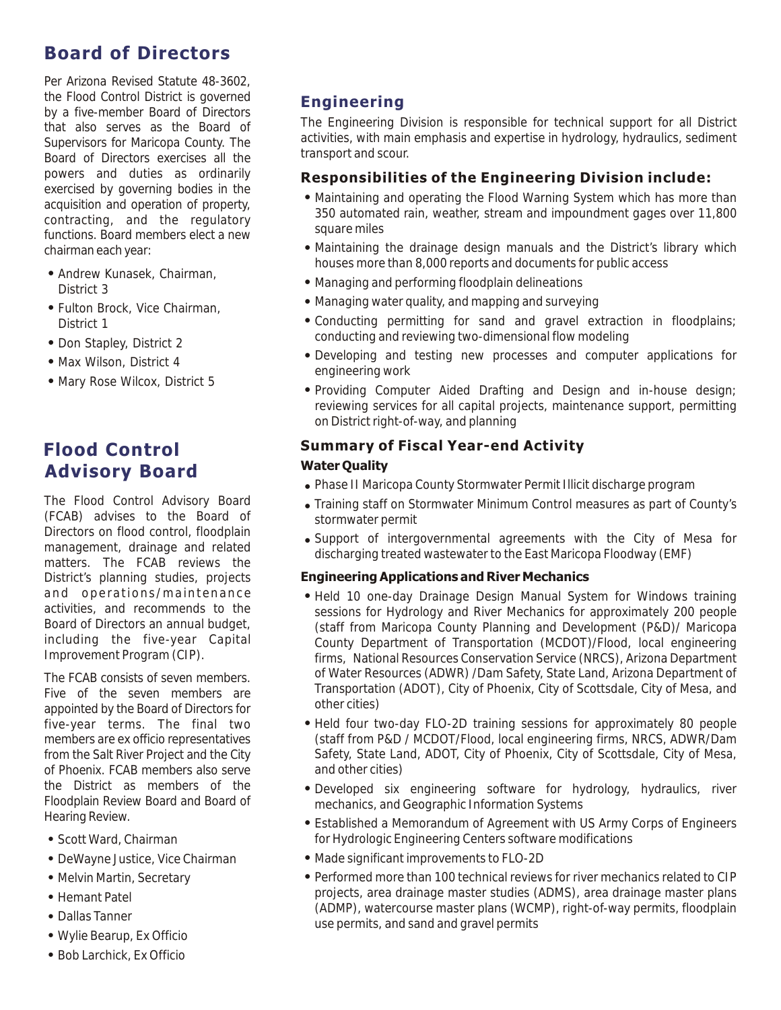## **Board of Directors**

Per Arizona Revised Statute 48-3602, the Flood Control District is governed by a five-member Board of Directors that also serves as the Board of Supervisors for Maricopa County. The Board of Directors exercises all the powers and duties as ordinarily exercised by governing bodies in the acquisition and operation of property, contracting, and the regulatory functions. Board members elect a new chairman each year:

- ! Andrew Kunasek, Chairman, District 3
- ! Fulton Brock, Vice Chairman, District 1
- Don Stapley, District 2
- . Max Wilson, District 4
- . Mary Rose Wilcox, District 5

## **Flood Control Advisory Board**

The Flood Control Advisory Board (FCAB) advises to the Board of Directors on flood control, floodplain management, drainage and related matters. The FCAB reviews the District's planning studies, projects and operations/maintenance activities, and recommends to the Board of Directors an annual budget, including the five-year Capital Improvement Program (CIP).

The FCAB consists of seven members. Five of the seven members are appointed by the Board of Directors for five-year terms. The final two members are ex officio representatives from the Salt River Project and the City of Phoenix. FCAB members also serve the District as members of the Floodplain Review Board and Board of Hearing Review.

- Scott Ward, Chairman
- DeWayne Justice, Vice Chairman
- Melvin Martin, Secretary
- Hemant Patel
- Dallas Tanner
- Wylie Bearup, Ex Officio
- . Bob Larchick, Ex Officio

### **Engineering**

The Engineering Division is responsible for technical support for all District activities, with main emphasis and expertise in hydrology, hydraulics, sediment transport and scour.

#### **Responsibilities of the Engineering Division include:**

- ! Maintaining and operating the Flood Warning System which has more than 350 automated rain, weather, stream and impoundment gages over 11,800 square miles
- ! Maintaining the drainage design manuals and the District's library which houses more than 8,000 reports and documents for public access
- ! Managing and performing floodplain delineations
- Managing water quality, and mapping and surveying
- ! Conducting permitting for sand and gravel extraction in floodplains; conducting and reviewing two-dimensional flow modeling
- ! Developing and testing new processes and computer applications for engineering work
- ! Providing Computer Aided Drafting and Design and in-house design; reviewing services for all capital projects, maintenance support, permitting on District right-of-way, and planning

#### **Summary of Fiscal Year-end Activity**

#### **Water Quality**

- . Phase II Maricopa County Stormwater Permit Illicit discharge program
- ! Training staff on Stormwater Minimum Control measures as part of County's stormwater permit
- ! Support of intergovernmental agreements with the City of Mesa for discharging treated wastewater to the East Maricopa Floodway (EMF)

#### **Engineering Applications and River Mechanics**

- Held 10 one-day Drainage Design Manual System for Windows training sessions for Hydrology and River Mechanics for approximately 200 people (staff from Maricopa County Planning and Development (P&D)/ Maricopa County Department of Transportation (MCDOT)/Flood, local engineering firms, National Resources Conservation Service (NRCS), Arizona Department of Water Resources (ADWR) /Dam Safety, State Land, Arizona Department of Transportation (ADOT), City of Phoenix, City of Scottsdale, City of Mesa, and other cities)
- ! Held four two-day FLO-2D training sessions for approximately 80 people (staff from P&D / MCDOT/Flood, local engineering firms, NRCS, ADWR/Dam Safety, State Land, ADOT, City of Phoenix, City of Scottsdale, City of Mesa, and other cities)
- ! Developed six engineering software for hydrology, hydraulics, river mechanics, and Geographic Information Systems
- ! Established a Memorandum of Agreement with US Army Corps of Engineers for Hydrologic Engineering Centers software modifications
- ! Made significant improvements to FLO-2D
- ! Performed more than 100 technical reviews for river mechanics related to CIP projects, area drainage master studies (ADMS), area drainage master plans (ADMP), watercourse master plans (WCMP), right-of-way permits, floodplain use permits, and sand and gravel permits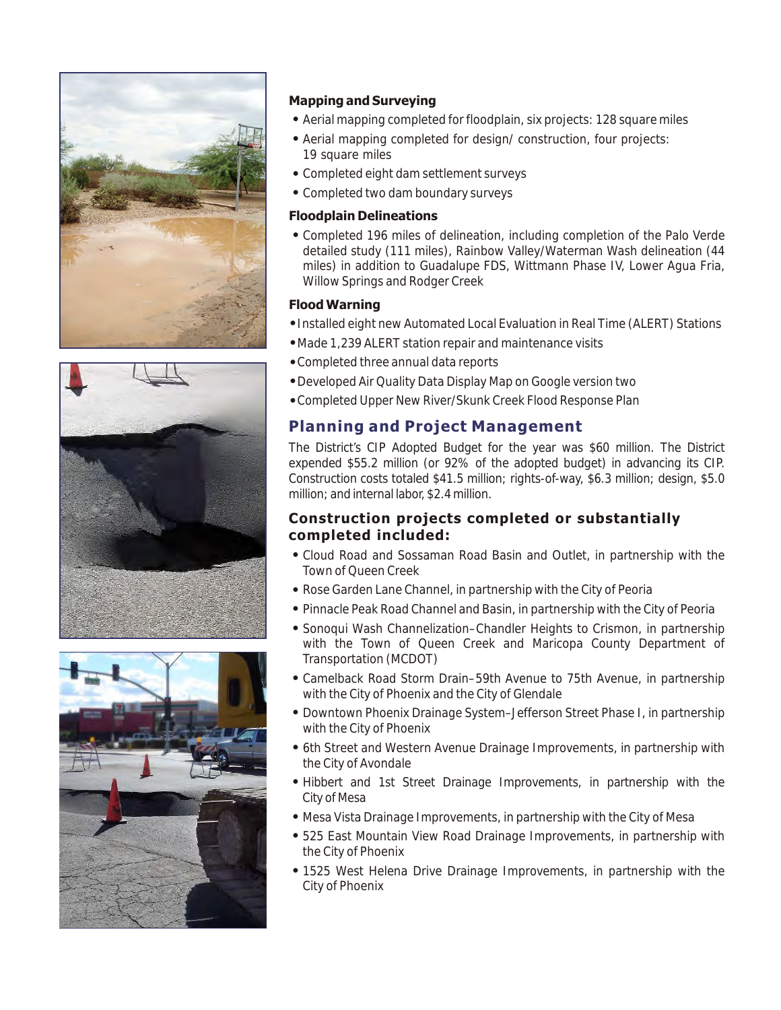





#### **Mapping and Surveying**

- ! Aerial mapping completed for floodplain, six projects: 128 square miles
- ! Aerial mapping completed for design/ construction, four projects: 19 square miles
- ! Completed eight dam settlement surveys
- Completed two dam boundary surveys

#### **Floodplain Delineations**

! Completed 196 miles of delineation, including completion of the Palo Verde detailed study (111 miles), Rainbow Valley/Waterman Wash delineation (44 miles) in addition to Guadalupe FDS, Wittmann Phase IV, Lower Agua Fria, Willow Springs and Rodger Creek

#### **Flood Warning**

- !Installed eight new Automated Local Evaluation in Real Time (ALERT) Stations
- !Made 1,239 ALERT station repair and maintenance visits
- !Completed three annual data reports
- !Developed Air Quality Data Display Map on Google version two
- !Completed Upper New River/Skunk Creek Flood Response Plan

### **Planning and Project Management**

The District's CIP Adopted Budget for the year was \$60 million. The District expended \$55.2 million (or 92% of the adopted budget) in advancing its CIP. Construction costs totaled \$41.5 million; rights-of-way, \$6.3 million; design, \$5.0 million; and internal labor, \$2.4 million.

#### **Construction projects completed or substantially completed included:**

- ! Cloud Road and Sossaman Road Basin and Outlet, in partnership with the Town of Queen Creek
- ! Rose Garden Lane Channel, in partnership with the City of Peoria
- ! Pinnacle Peak Road Channel and Basin, in partnership with the City of Peoria
- ! Sonoqui Wash Channelization–Chandler Heights to Crismon, in partnership with the Town of Queen Creek and Maricopa County Department of Transportation (MCDOT)
- ! Camelback Road Storm Drain–59th Avenue to 75th Avenue, in partnership with the City of Phoenix and the City of Glendale
- ! Downtown Phoenix Drainage System–Jefferson Street Phase I, in partnership with the City of Phoenix
- ! 6th Street and Western Avenue Drainage Improvements, in partnership with the City of Avondale
- ! Hibbert and 1st Street Drainage Improvements, in partnership with the City of Mesa
- Mesa Vista Drainage Improvements, in partnership with the City of Mesa
- ! 525 East Mountain View Road Drainage Improvements, in partnership with the City of Phoenix
- ! 1525 West Helena Drive Drainage Improvements, in partnership with the City of Phoenix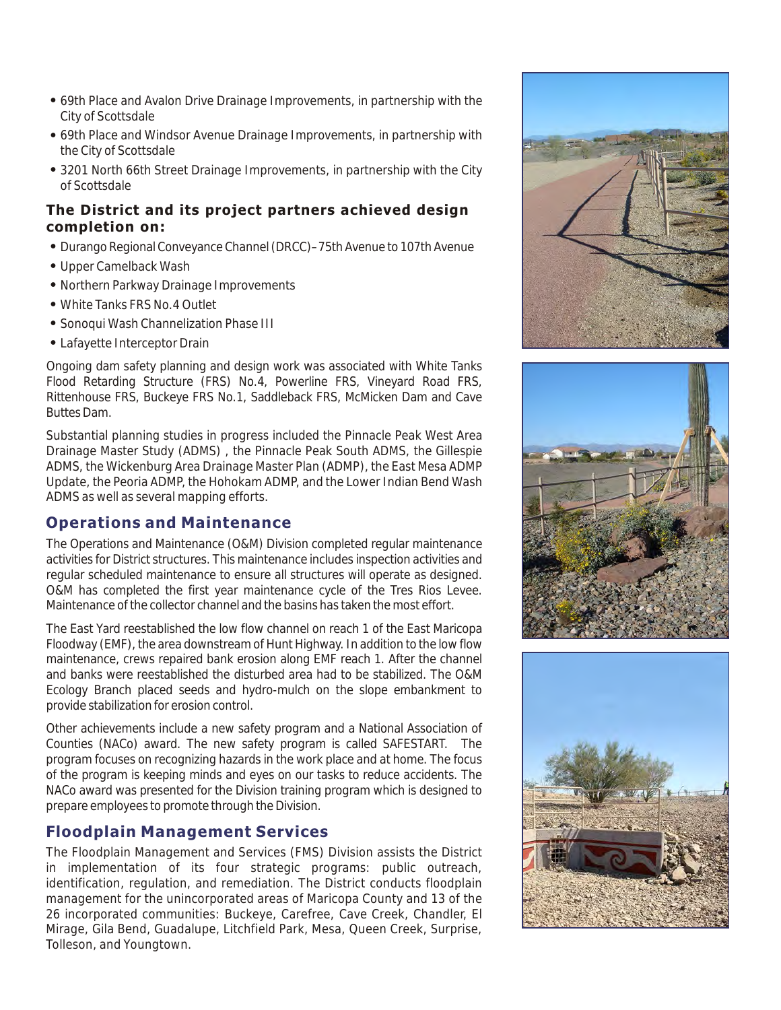- ! 69th Place and Avalon Drive Drainage Improvements, in partnership with the City of Scottsdale
- ! 69th Place and Windsor Avenue Drainage Improvements, in partnership with the City of Scottsdale
- 3201 North 66th Street Drainage Improvements, in partnership with the City of Scottsdale

#### **The District and its project partners achieved design completion on:**

- ! Durango Regional Conveyance Channel (DRCC)–75th Avenue to 107th Avenue
- Upper Camelback Wash
- Northern Parkway Drainage Improvements
- . White Tanks FRS No. 4 Outlet
- ! Sonoqui Wash Channelization Phase III
- Lafayette Interceptor Drain

Ongoing dam safety planning and design work was associated with White Tanks Flood Retarding Structure (FRS) No.4, Powerline FRS, Vineyard Road FRS, Rittenhouse FRS, Buckeye FRS No.1, Saddleback FRS, McMicken Dam and Cave Buttes Dam.

Substantial planning studies in progress included the Pinnacle Peak West Area Drainage Master Study (ADMS) , the Pinnacle Peak South ADMS, the Gillespie ADMS, the Wickenburg Area Drainage Master Plan (ADMP), the East Mesa ADMP Update, the Peoria ADMP, the Hohokam ADMP, and the Lower Indian Bend Wash ADMS as well as several mapping efforts.

## **Operations and Maintenance**

The Operations and Maintenance (O&M) Division completed regular maintenance activities for District structures. This maintenance includes inspection activities and regular scheduled maintenance to ensure all structures will operate as designed. O&M has completed the first year maintenance cycle of the Tres Rios Levee. Maintenance of the collector channel and the basins has taken the most effort.

The East Yard reestablished the low flow channel on reach 1 of the East Maricopa Floodway (EMF), the area downstream of Hunt Highway. In addition to the low flow maintenance, crews repaired bank erosion along EMF reach 1. After the channel and banks were reestablished the disturbed area had to be stabilized. The O&M Ecology Branch placed seeds and hydro-mulch on the slope embankment to provide stabilization for erosion control.

Other achievements include a new safety program and a National Association of Counties (NACo) award. The new safety program is called SAFESTART. The program focuses on recognizing hazards in the work place and at home. The focus of the program is keeping minds and eyes on our tasks to reduce accidents. The NACo award was presented for the Division training program which is designed to prepare employees to promote through the Division.

## **Floodplain Management Services**

The Floodplain Management and Services (FMS) Division assists the District in implementation of its four strategic programs: public outreach, identification, regulation, and remediation. The District conducts floodplain management for the unincorporated areas of Maricopa County and 13 of the 26 incorporated communities: Buckeye, Carefree, Cave Creek, Chandler, El Mirage, Gila Bend, Guadalupe, Litchfield Park, Mesa, Queen Creek, Surprise, Tolleson, and Youngtown.





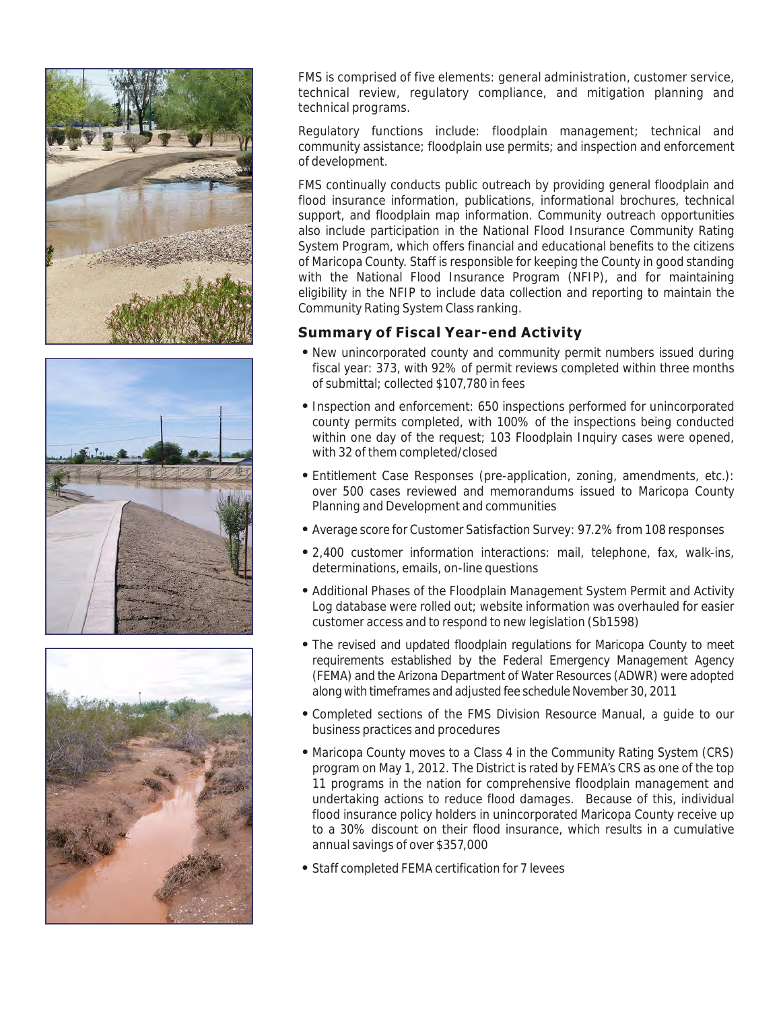





FMS is comprised of five elements: general administration, customer service, technical review, regulatory compliance, and mitigation planning and technical programs.

Regulatory functions include: floodplain management; technical and community assistance; floodplain use permits; and inspection and enforcement of development.

FMS continually conducts public outreach by providing general floodplain and flood insurance information, publications, informational brochures, technical support, and floodplain map information. Community outreach opportunities also include participation in the National Flood Insurance Community Rating System Program, which offers financial and educational benefits to the citizens of Maricopa County. Staff is responsible for keeping the County in good standing with the National Flood Insurance Program (NFIP), and for maintaining eligibility in the NFIP to include data collection and reporting to maintain the Community Rating System Class ranking.

### **Summary of Fiscal Year-end Activity**

- ! New unincorporated county and community permit numbers issued during fiscal year: 373, with 92% of permit reviews completed within three months of submittal; collected \$107,780 in fees
- ! Inspection and enforcement: 650 inspections performed for unincorporated county permits completed, with 100% of the inspections being conducted within one day of the request; 103 Floodplain Inquiry cases were opened, with 32 of them completed/closed
- ! Entitlement Case Responses (pre-application, zoning, amendments, etc.): over 500 cases reviewed and memorandums issued to Maricopa County Planning and Development and communities
- ! Average score for Customer Satisfaction Survey: 97.2% from 108 responses
- ! 2,400 customer information interactions: mail, telephone, fax, walk-ins, determinations, emails, on-line questions
- ! Additional Phases of the Floodplain Management System Permit and Activity Log database were rolled out; website information was overhauled for easier customer access and to respond to new legislation (Sb1598)
- ! The revised and updated floodplain regulations for Maricopa County to meet requirements established by the Federal Emergency Management Agency (FEMA) and the Arizona Department of Water Resources (ADWR) were adopted along with timeframes and adjusted fee schedule November 30, 2011
- ! Completed sections of the FMS Division Resource Manual, a guide to our business practices and procedures
- ! Maricopa County moves to a Class 4 in the Community Rating System (CRS) program on May 1, 2012. The District is rated by FEMA's CRS as one of the top 11 programs in the nation for comprehensive floodplain management and undertaking actions to reduce flood damages. Because of this, individual flood insurance policy holders in unincorporated Maricopa County receive up to a 30% discount on their flood insurance, which results in a cumulative annual savings of over \$357,000
- ! Staff completed FEMA certification for 7 levees